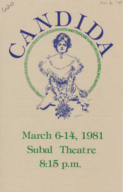

# March 6-14, 1981 Subal Theatre 8:15 p.m.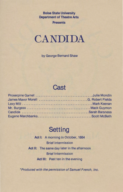**Boise State University Department of Theatre Arts** 

**Presents** 



by George Bernard Shaw

#### **Cast**

# **Setting**

**Act 1:** A morning in October, 1884 Brief Intermission **Act** II: The same day later in the afternoon Brief Intermission **Act** Ill: Past ten in the evening

\*Produced with the permission of Samuel French, Inc.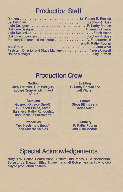### **Production Staff**

| Costume Designer Gueneth Omeron                    |                     |
|----------------------------------------------------|---------------------|
|                                                    |                     |
| Costume Supervisor Stephen R. Buss                 |                     |
| Publicity Director and Assistant C. E. Lauterbach  |                     |
| <b>CONTRACTOR</b>                                  | and P. Kathy Robran |
|                                                    |                     |
| Assistant Director and Stage ManagerTeresa Cassell |                     |
|                                                    |                     |
|                                                    |                     |

## **Production Crew**

**Setting**  Judy Pittman, Tom Hanigan, Louard Crumbaugh Ill, and TA 118

**Costume**  Gueneth Omeron (head), G. Robert Fields, Sarah Barsness, Kathy Rundquist, and Rochelle Hazelworth

**Properties**  Yuki Hashimoto (head), and Richard Shields

**Lighting P.** Kathy Robran and Jeff Warren

**Sound**  Steve Billings and Chris Owens

**Publicity P.** Kathy Robran and Julie Mondin

## **Special Acknowledgements**

Nifty 90's, Bench Commission, Deseret Industries, Sue Normandin, Boise Little Theater, Bitsy Bidwell, and all Boise merchants who displayed production posters.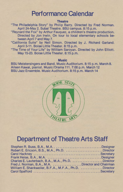#### **Performance Calendar**

#### **Theatre**

"The Philadelphia Story" by Philip Barry. Directed by Fred Norman. April 24-May 2. Subal Theatre. BSU campus. 8:15 p.m.

"Reynard the Fox" by Arthur Fauquez, a children's theatre production. Directed by Jon Irwin. On tour to local elementary schools between April 7 and May 7.

"California Suite" by Neil Simon. Directed by J. Richard Garland. April 3-11. Boise Little Theater. 8:15 p.m.

"The Time of Your Life" by William Saroyan. Directed by John Elliott. May 15-23. Boise Little Theater, 8:15 p.m.

#### **Music**

BSU Meistersingers and Band. Music Auditorium, 8:15 p.m. March 8. Aileen Kawai, pianist. Music/Drama 111.7:00 p.m. March 12 BSU Jazz Ensemble. Music Auditorium. 8:15 p.m. March 14



### **Department of Theatre Arts Staff**

| Robert E. Ericson, B.S., M.A., Ph.D. Director          |  |
|--------------------------------------------------------|--|
|                                                        |  |
|                                                        |  |
| Charles E. Lauterbach, B.A., M.A., Ph.D. Director      |  |
| Fred J. Norman, B.A., M.A. Director and Chairman       |  |
| William E. Shankweiler, B.F.A., M.F.A., Ph.D. Director |  |
|                                                        |  |